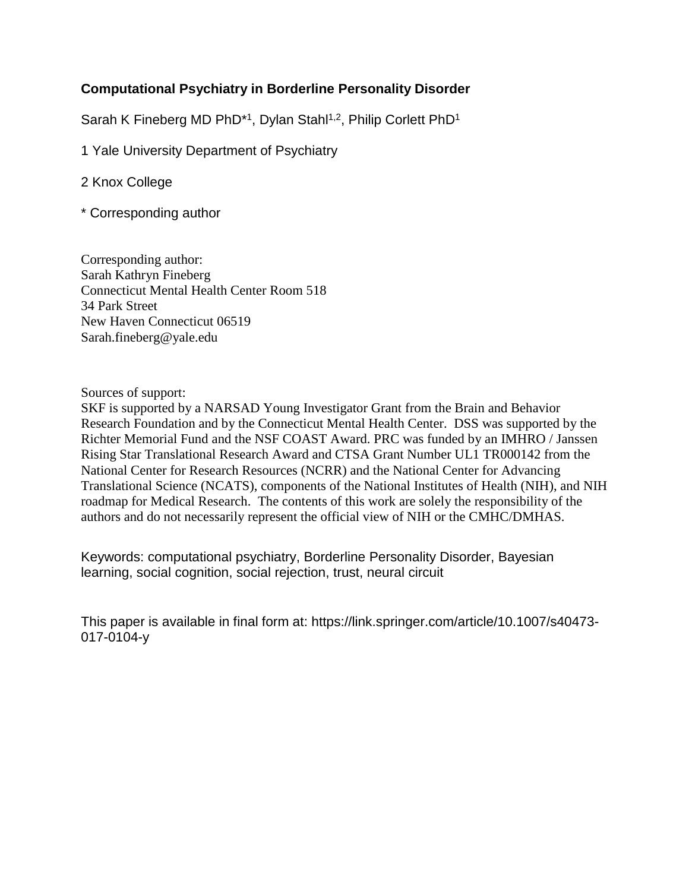# **Computational Psychiatry in Borderline Personality Disorder**

Sarah K Fineberg MD PhD<sup>\*1</sup>, Dylan Stahl<sup>1,2</sup>, Philip Corlett PhD<sup>1</sup>

1 Yale University Department of Psychiatry

- 2 Knox College
- \* Corresponding author

Corresponding author: Sarah Kathryn Fineberg Connecticut Mental Health Center Room 518 34 Park Street New Haven Connecticut 06519 Sarah.fineberg@yale.edu

Sources of support:

SKF is supported by a NARSAD Young Investigator Grant from the Brain and Behavior Research Foundation and by the Connecticut Mental Health Center. DSS was supported by the Richter Memorial Fund and the NSF COAST Award. PRC was funded by an IMHRO / Janssen Rising Star Translational Research Award and CTSA Grant Number UL1 TR000142 from the National Center for Research Resources (NCRR) and the National Center for Advancing Translational Science (NCATS), components of the National Institutes of Health (NIH), and NIH roadmap for Medical Research. The contents of this work are solely the responsibility of the authors and do not necessarily represent the official view of NIH or the CMHC/DMHAS.

Keywords: computational psychiatry, Borderline Personality Disorder, Bayesian learning, social cognition, social rejection, trust, neural circuit

This paper is available in final form at: https://link.springer.com/article/10.1007/s40473- 017-0104-y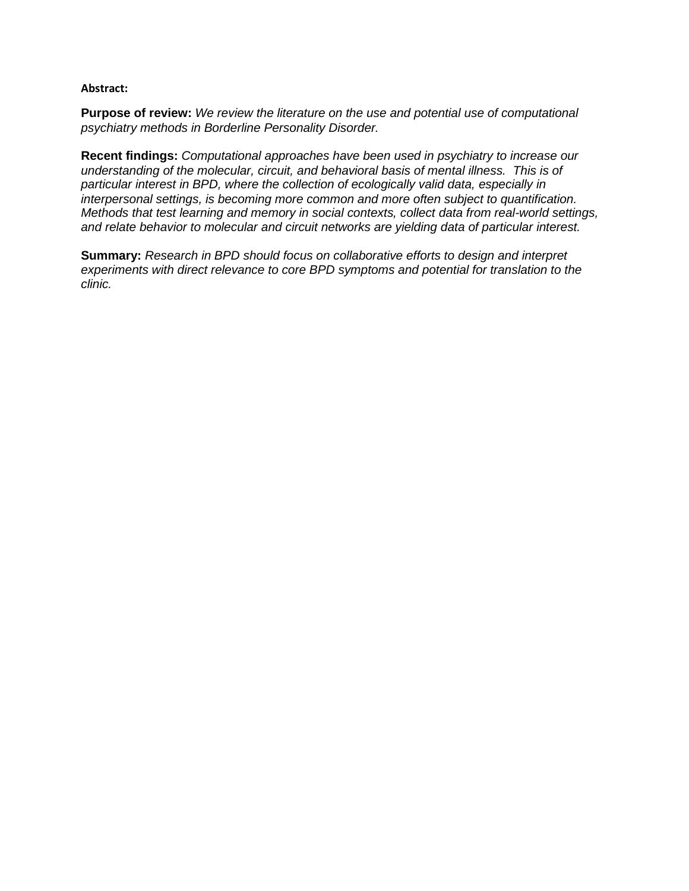#### **Abstract:**

**Purpose of review:** *We review the literature on the use and potential use of computational psychiatry methods in Borderline Personality Disorder.*

**Recent findings:** *Computational approaches have been used in psychiatry to increase our understanding of the molecular, circuit, and behavioral basis of mental illness. This is of particular interest in BPD, where the collection of ecologically valid data, especially in interpersonal settings, is becoming more common and more often subject to quantification. Methods that test learning and memory in social contexts, collect data from real-world settings, and relate behavior to molecular and circuit networks are yielding data of particular interest.*

**Summary:** *Research in BPD should focus on collaborative efforts to design and interpret experiments with direct relevance to core BPD symptoms and potential for translation to the clinic.*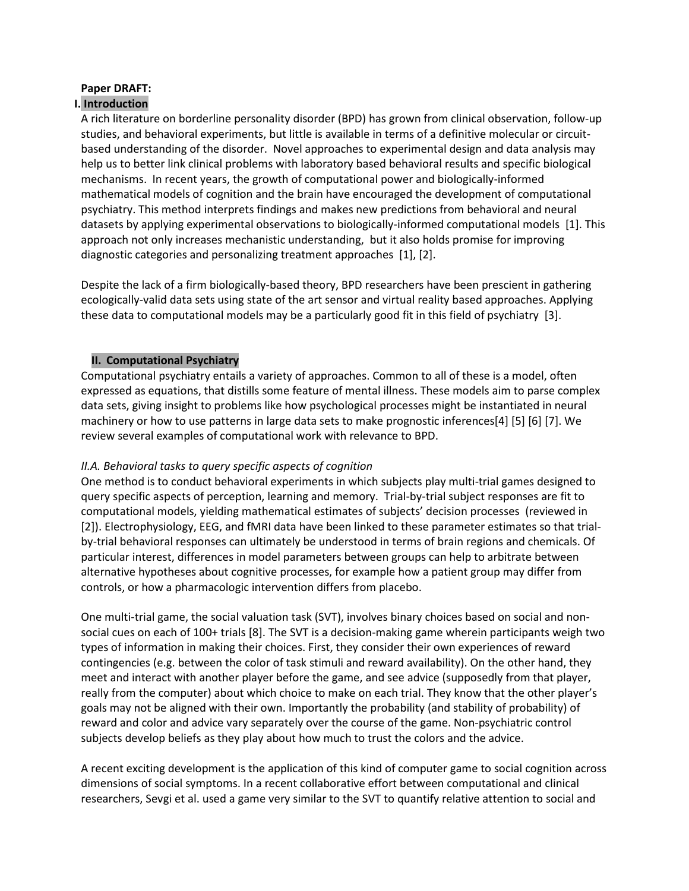# **Paper DRAFT:**

## **I. Introduction**

A rich literature on borderline personality disorder (BPD) has grown from clinical observation, follow-up studies, and behavioral experiments, but little is available in terms of a definitive molecular or circuitbased understanding of the disorder. Novel approaches to experimental design and data analysis may help us to better link clinical problems with laboratory based behavioral results and specific biological mechanisms. In recent years, the growth of computational power and biologically-informed mathematical models of cognition and the brain have encouraged the development of computational psychiatry. This method interprets findings and makes new predictions from behavioral and neural datasets by applying experimental observations to biologically-informed computational models [1]. This approach not only increases mechanistic understanding, but it also holds promise for improving diagnostic categories and personalizing treatment approaches [1], [2].

Despite the lack of a firm biologically-based theory, BPD researchers have been prescient in gathering ecologically-valid data sets using state of the art sensor and virtual reality based approaches. Applying these data to computational models may be a particularly good fit in this field of psychiatry [3].

#### **II. Computational Psychiatry**

Computational psychiatry entails a variety of approaches. Common to all of these is a model, often expressed as equations, that distills some feature of mental illness. These models aim to parse complex data sets, giving insight to problems like how psychological processes might be instantiated in neural machinery or how to use patterns in large data sets to make prognostic inferences[4] [5] [6] [7]. We review several examples of computational work with relevance to BPD.

#### *II.A. Behavioral tasks to query specific aspects of cognition*

One method is to conduct behavioral experiments in which subjects play multi-trial games designed to query specific aspects of perception, learning and memory. Trial-by-trial subject responses are fit to computational models, yielding mathematical estimates of subjects' decision processes (reviewed in [2]). Electrophysiology, EEG, and fMRI data have been linked to these parameter estimates so that trialby-trial behavioral responses can ultimately be understood in terms of brain regions and chemicals. Of particular interest, differences in model parameters between groups can help to arbitrate between alternative hypotheses about cognitive processes, for example how a patient group may differ from controls, or how a pharmacologic intervention differs from placebo.

One multi-trial game, the social valuation task (SVT), involves binary choices based on social and nonsocial cues on each of 100+ trials [8]. The SVT is a decision-making game wherein participants weigh two types of information in making their choices. First, they consider their own experiences of reward contingencies (e.g. between the color of task stimuli and reward availability). On the other hand, they meet and interact with another player before the game, and see advice (supposedly from that player, really from the computer) about which choice to make on each trial. They know that the other player's goals may not be aligned with their own. Importantly the probability (and stability of probability) of reward and color and advice vary separately over the course of the game. Non-psychiatric control subjects develop beliefs as they play about how much to trust the colors and the advice.

A recent exciting development is the application of this kind of computer game to social cognition across dimensions of social symptoms. In a recent collaborative effort between computational and clinical researchers, Sevgi et al. used a game very similar to the SVT to quantify relative attention to social and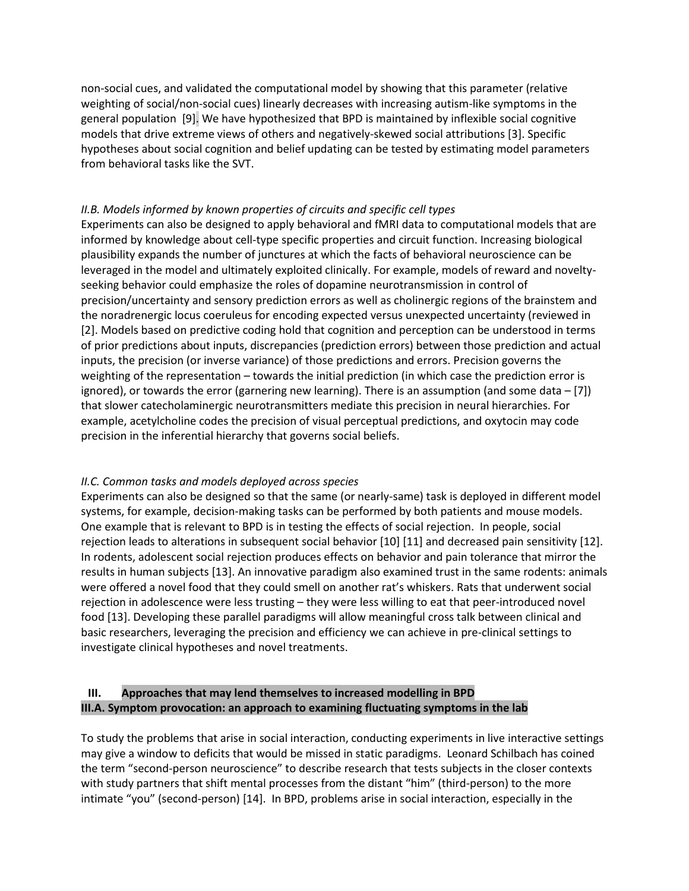non-social cues, and validated the computational model by showing that this parameter (relative weighting of social/non-social cues) linearly decreases with increasing autism-like symptoms in the general population [9]. We have hypothesized that BPD is maintained by inflexible social cognitive models that drive extreme views of others and negatively-skewed social attributions [3]. Specific hypotheses about social cognition and belief updating can be tested by estimating model parameters from behavioral tasks like the SVT.

#### *II.B. Models informed by known properties of circuits and specific cell types*

Experiments can also be designed to apply behavioral and fMRI data to computational models that are informed by knowledge about cell-type specific properties and circuit function. Increasing biological plausibility expands the number of junctures at which the facts of behavioral neuroscience can be leveraged in the model and ultimately exploited clinically. For example, models of reward and noveltyseeking behavior could emphasize the roles of dopamine neurotransmission in control of precision/uncertainty and sensory prediction errors as well as cholinergic regions of the brainstem and the noradrenergic locus coeruleus for encoding expected versus unexpected uncertainty (reviewed in [2]. Models based on predictive coding hold that cognition and perception can be understood in terms of prior predictions about inputs, discrepancies (prediction errors) between those prediction and actual inputs, the precision (or inverse variance) of those predictions and errors. Precision governs the weighting of the representation – towards the initial prediction (in which case the prediction error is ignored), or towards the error (garnering new learning). There is an assumption (and some data – [7]) that slower catecholaminergic neurotransmitters mediate this precision in neural hierarchies. For example, acetylcholine codes the precision of visual perceptual predictions, and oxytocin may code precision in the inferential hierarchy that governs social beliefs.

#### *II.C. Common tasks and models deployed across species*

Experiments can also be designed so that the same (or nearly-same) task is deployed in different model systems, for example, decision-making tasks can be performed by both patients and mouse models. One example that is relevant to BPD is in testing the effects of social rejection. In people, social rejection leads to alterations in subsequent social behavior [10] [11] and decreased pain sensitivity [12]. In rodents, adolescent social rejection produces effects on behavior and pain tolerance that mirror the results in human subjects [13]. An innovative paradigm also examined trust in the same rodents: animals were offered a novel food that they could smell on another rat's whiskers. Rats that underwent social rejection in adolescence were less trusting – they were less willing to eat that peer-introduced novel food [13]. Developing these parallel paradigms will allow meaningful cross talk between clinical and basic researchers, leveraging the precision and efficiency we can achieve in pre-clinical settings to investigate clinical hypotheses and novel treatments.

# **III. Approaches that may lend themselves to increased modelling in BPD III.A. Symptom provocation: an approach to examining fluctuating symptoms in the lab**

To study the problems that arise in social interaction, conducting experiments in live interactive settings may give a window to deficits that would be missed in static paradigms. Leonard Schilbach has coined the term "second-person neuroscience" to describe research that tests subjects in the closer contexts with study partners that shift mental processes from the distant "him" (third-person) to the more intimate "you" (second-person) [14]. In BPD, problems arise in social interaction, especially in the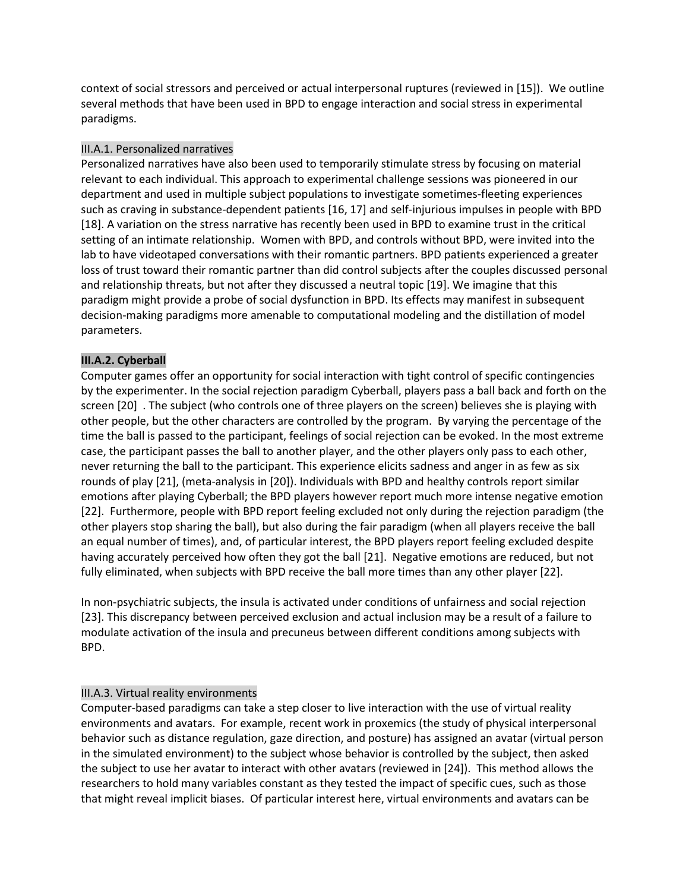context of social stressors and perceived or actual interpersonal ruptures (reviewed in [15]). We outline several methods that have been used in BPD to engage interaction and social stress in experimental paradigms.

#### III.A.1. Personalized narratives

Personalized narratives have also been used to temporarily stimulate stress by focusing on material relevant to each individual. This approach to experimental challenge sessions was pioneered in our department and used in multiple subject populations to investigate sometimes-fleeting experiences such as craving in substance-dependent patients [16, 17] and self-injurious impulses in people with BPD [18]. A variation on the stress narrative has recently been used in BPD to examine trust in the critical setting of an intimate relationship. Women with BPD, and controls without BPD, were invited into the lab to have videotaped conversations with their romantic partners. BPD patients experienced a greater loss of trust toward their romantic partner than did control subjects after the couples discussed personal and relationship threats, but not after they discussed a neutral topic [19]. We imagine that this paradigm might provide a probe of social dysfunction in BPD. Its effects may manifest in subsequent decision-making paradigms more amenable to computational modeling and the distillation of model parameters.

# **III.A.2. Cyberball**

Computer games offer an opportunity for social interaction with tight control of specific contingencies by the experimenter. In the social rejection paradigm Cyberball, players pass a ball back and forth on the screen [20] . The subject (who controls one of three players on the screen) believes she is playing with other people, but the other characters are controlled by the program. By varying the percentage of the time the ball is passed to the participant, feelings of social rejection can be evoked. In the most extreme case, the participant passes the ball to another player, and the other players only pass to each other, never returning the ball to the participant. This experience elicits sadness and anger in as few as six rounds of play [21], (meta-analysis in [20]). Individuals with BPD and healthy controls report similar emotions after playing Cyberball; the BPD players however report much more intense negative emotion [22]. Furthermore, people with BPD report feeling excluded not only during the rejection paradigm (the other players stop sharing the ball), but also during the fair paradigm (when all players receive the ball an equal number of times), and, of particular interest, the BPD players report feeling excluded despite having accurately perceived how often they got the ball [21]. Negative emotions are reduced, but not fully eliminated, when subjects with BPD receive the ball more times than any other player [22].

In non-psychiatric subjects, the insula is activated under conditions of unfairness and social rejection [23]. This discrepancy between perceived exclusion and actual inclusion may be a result of a failure to modulate activation of the insula and precuneus between different conditions among subjects with BPD.

#### III.A.3. Virtual reality environments

Computer-based paradigms can take a step closer to live interaction with the use of virtual reality environments and avatars. For example, recent work in proxemics (the study of physical interpersonal behavior such as distance regulation, gaze direction, and posture) has assigned an avatar (virtual person in the simulated environment) to the subject whose behavior is controlled by the subject, then asked the subject to use her avatar to interact with other avatars (reviewed in [24]). This method allows the researchers to hold many variables constant as they tested the impact of specific cues, such as those that might reveal implicit biases. Of particular interest here, virtual environments and avatars can be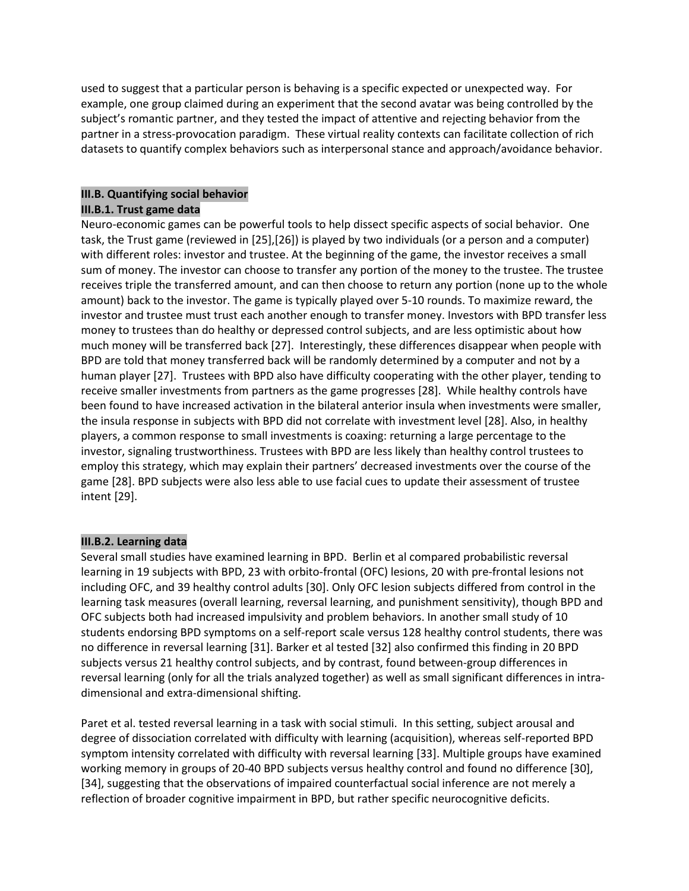used to suggest that a particular person is behaving is a specific expected or unexpected way. For example, one group claimed during an experiment that the second avatar was being controlled by the subject's romantic partner, and they tested the impact of attentive and rejecting behavior from the partner in a stress-provocation paradigm. These virtual reality contexts can facilitate collection of rich datasets to quantify complex behaviors such as interpersonal stance and approach/avoidance behavior.

# **III.B. Quantifying social behavior**

#### **III.B.1. Trust game data**

Neuro-economic games can be powerful tools to help dissect specific aspects of social behavior. One task, the Trust game (reviewed in [25],[26]) is played by two individuals (or a person and a computer) with different roles: investor and trustee. At the beginning of the game, the investor receives a small sum of money. The investor can choose to transfer any portion of the money to the trustee. The trustee receives triple the transferred amount, and can then choose to return any portion (none up to the whole amount) back to the investor. The game is typically played over 5-10 rounds. To maximize reward, the investor and trustee must trust each another enough to transfer money. Investors with BPD transfer less money to trustees than do healthy or depressed control subjects, and are less optimistic about how much money will be transferred back [27]. Interestingly, these differences disappear when people with BPD are told that money transferred back will be randomly determined by a computer and not by a human player [27]. Trustees with BPD also have difficulty cooperating with the other player, tending to receive smaller investments from partners as the game progresses [28]. While healthy controls have been found to have increased activation in the bilateral anterior insula when investments were smaller, the insula response in subjects with BPD did not correlate with investment level [28]. Also, in healthy players, a common response to small investments is coaxing: returning a large percentage to the investor, signaling trustworthiness. Trustees with BPD are less likely than healthy control trustees to employ this strategy, which may explain their partners' decreased investments over the course of the game [28]. BPD subjects were also less able to use facial cues to update their assessment of trustee intent [29].

# **III.B.2. Learning data**

Several small studies have examined learning in BPD. Berlin et al compared probabilistic reversal learning in 19 subjects with BPD, 23 with orbito-frontal (OFC) lesions, 20 with pre-frontal lesions not including OFC, and 39 healthy control adults [30]. Only OFC lesion subjects differed from control in the learning task measures (overall learning, reversal learning, and punishment sensitivity), though BPD and OFC subjects both had increased impulsivity and problem behaviors. In another small study of 10 students endorsing BPD symptoms on a self-report scale versus 128 healthy control students, there was no difference in reversal learning [31]. Barker et al tested [32] also confirmed this finding in 20 BPD subjects versus 21 healthy control subjects, and by contrast, found between-group differences in reversal learning (only for all the trials analyzed together) as well as small significant differences in intradimensional and extra-dimensional shifting.

Paret et al. tested reversal learning in a task with social stimuli. In this setting, subject arousal and degree of dissociation correlated with difficulty with learning (acquisition), whereas self-reported BPD symptom intensity correlated with difficulty with reversal learning [33]. Multiple groups have examined working memory in groups of 20-40 BPD subjects versus healthy control and found no difference [30], [34], suggesting that the observations of impaired counterfactual social inference are not merely a reflection of broader cognitive impairment in BPD, but rather specific neurocognitive deficits.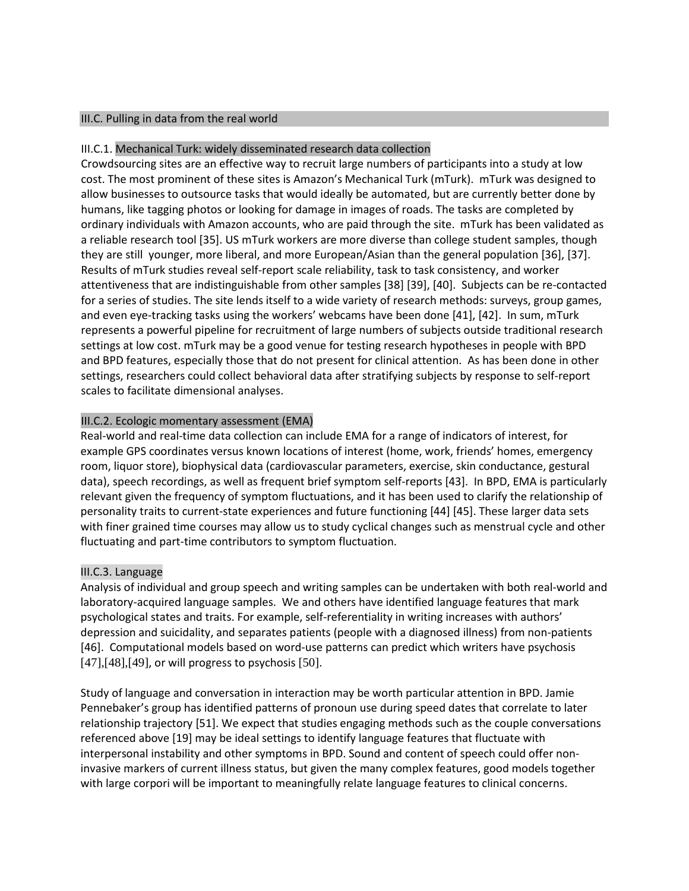#### III.C. Pulling in data from the real world

#### III.C.1. Mechanical Turk: widely disseminated research data collection

Crowdsourcing sites are an effective way to recruit large numbers of participants into a study at low cost. The most prominent of these sites is Amazon's Mechanical Turk (mTurk). mTurk was designed to allow businesses to outsource tasks that would ideally be automated, but are currently better done by humans, like tagging photos or looking for damage in images of roads. The tasks are completed by ordinary individuals with Amazon accounts, who are paid through the site. mTurk has been validated as a reliable research tool [35]. US mTurk workers are more diverse than college student samples, though they are still younger, more liberal, and more European/Asian than the general population [36], [37]. Results of mTurk studies reveal self-report scale reliability, task to task consistency, and worker attentiveness that are indistinguishable from other samples [38] [39], [40]. Subjects can be re-contacted for a series of studies. The site lends itself to a wide variety of research methods: surveys, group games, and even eye-tracking tasks using the workers' webcams have been done [41], [42]. In sum, mTurk represents a powerful pipeline for recruitment of large numbers of subjects outside traditional research settings at low cost. mTurk may be a good venue for testing research hypotheses in people with BPD and BPD features, especially those that do not present for clinical attention. As has been done in other settings, researchers could collect behavioral data after stratifying subjects by response to self-report scales to facilitate dimensional analyses.

#### III.C.2. Ecologic momentary assessment (EMA)

Real-world and real-time data collection can include EMA for a range of indicators of interest, for example GPS coordinates versus known locations of interest (home, work, friends' homes, emergency room, liquor store), biophysical data (cardiovascular parameters, exercise, skin conductance, gestural data), speech recordings, as well as frequent brief symptom self-reports [43]. In BPD, EMA is particularly relevant given the frequency of symptom fluctuations, and it has been used to clarify the relationship of personality traits to current-state experiences and future functioning [44] [45]. These larger data sets with finer grained time courses may allow us to study cyclical changes such as menstrual cycle and other fluctuating and part-time contributors to symptom fluctuation.

#### III.C.3. Language

Analysis of individual and group speech and writing samples can be undertaken with both real-world and laboratory-acquired language samples. We and others have identified language features that mark psychological states and traits. For example, self-referentiality in writing increases with authors' depression and suicidality, and separates patients (people with a diagnosed illness) from non-patients [46]. Computational models based on word-use patterns can predict which writers have psychosis  $[47],[48],[49]$ , or will progress to psychosis  $[50]$ .

Study of language and conversation in interaction may be worth particular attention in BPD. Jamie Pennebaker's group has identified patterns of pronoun use during speed dates that correlate to later relationship trajectory [51]. We expect that studies engaging methods such as the couple conversations referenced above [19] may be ideal settings to identify language features that fluctuate with interpersonal instability and other symptoms in BPD. Sound and content of speech could offer noninvasive markers of current illness status, but given the many complex features, good models together with large corpori will be important to meaningfully relate language features to clinical concerns.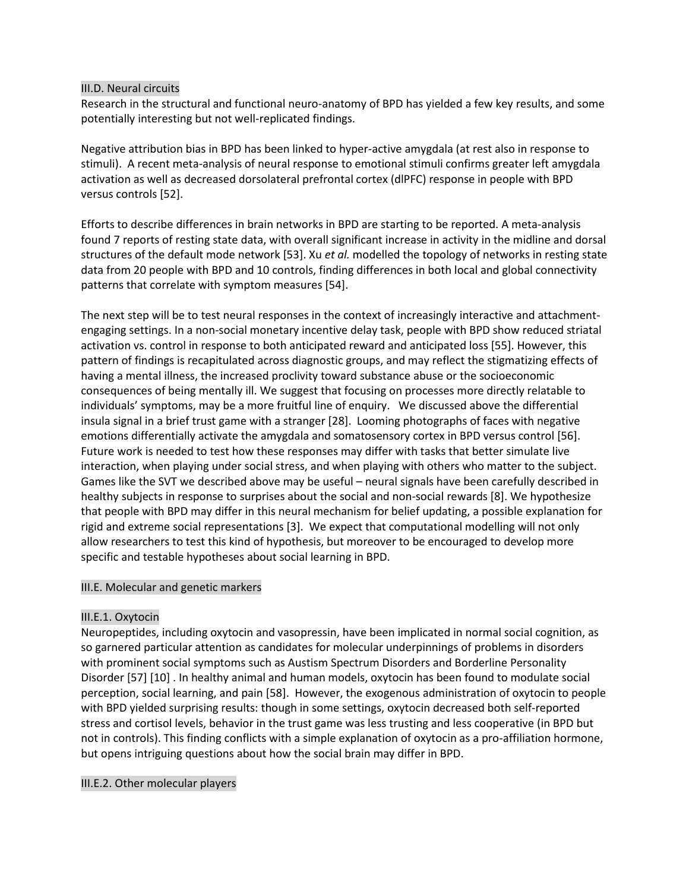#### III.D. Neural circuits

Research in the structural and functional neuro-anatomy of BPD has yielded a few key results, and some potentially interesting but not well-replicated findings.

Negative attribution bias in BPD has been linked to hyper-active amygdala (at rest also in response to stimuli). A recent meta-analysis of neural response to emotional stimuli confirms greater left amygdala activation as well as decreased dorsolateral prefrontal cortex (dlPFC) response in people with BPD versus controls [52].

Efforts to describe differences in brain networks in BPD are starting to be reported. A meta-analysis found 7 reports of resting state data, with overall significant increase in activity in the midline and dorsal structures of the default mode network [53]. Xu *et al.* modelled the topology of networks in resting state data from 20 people with BPD and 10 controls, finding differences in both local and global connectivity patterns that correlate with symptom measures [54].

The next step will be to test neural responses in the context of increasingly interactive and attachmentengaging settings. In a non-social monetary incentive delay task, people with BPD show reduced striatal activation vs. control in response to both anticipated reward and anticipated loss [55]. However, this pattern of findings is recapitulated across diagnostic groups, and may reflect the stigmatizing effects of having a mental illness, the increased proclivity toward substance abuse or the socioeconomic consequences of being mentally ill. We suggest that focusing on processes more directly relatable to individuals' symptoms, may be a more fruitful line of enquiry. We discussed above the differential insula signal in a brief trust game with a stranger [28]. Looming photographs of faces with negative emotions differentially activate the amygdala and somatosensory cortex in BPD versus control [56]. Future work is needed to test how these responses may differ with tasks that better simulate live interaction, when playing under social stress, and when playing with others who matter to the subject. Games like the SVT we described above may be useful – neural signals have been carefully described in healthy subjects in response to surprises about the social and non-social rewards [8]. We hypothesize that people with BPD may differ in this neural mechanism for belief updating, a possible explanation for rigid and extreme social representations [3]. We expect that computational modelling will not only allow researchers to test this kind of hypothesis, but moreover to be encouraged to develop more specific and testable hypotheses about social learning in BPD.

#### III.E. Molecular and genetic markers

#### III.E.1. Oxytocin

Neuropeptides, including oxytocin and vasopressin, have been implicated in normal social cognition, as so garnered particular attention as candidates for molecular underpinnings of problems in disorders with prominent social symptoms such as Austism Spectrum Disorders and Borderline Personality Disorder [57] [10] . In healthy animal and human models, oxytocin has been found to modulate social perception, social learning, and pain [58]. However, the exogenous administration of oxytocin to people with BPD yielded surprising results: though in some settings, oxytocin decreased both self-reported stress and cortisol levels, behavior in the trust game was less trusting and less cooperative (in BPD but not in controls). This finding conflicts with a simple explanation of oxytocin as a pro-affiliation hormone, but opens intriguing questions about how the social brain may differ in BPD.

#### III.E.2. Other molecular players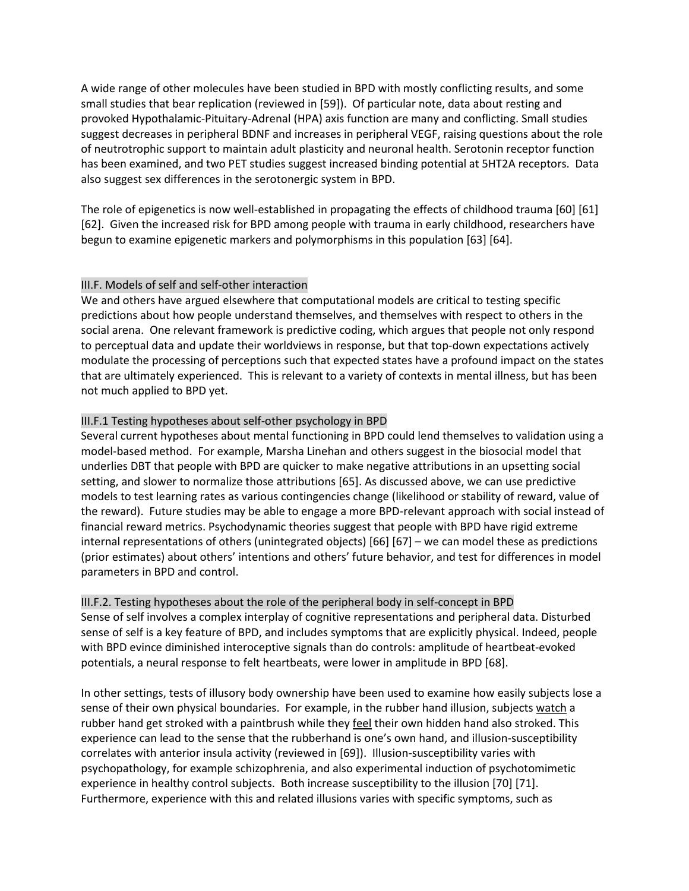A wide range of other molecules have been studied in BPD with mostly conflicting results, and some small studies that bear replication (reviewed in [59]). Of particular note, data about resting and provoked Hypothalamic-Pituitary-Adrenal (HPA) axis function are many and conflicting. Small studies suggest decreases in peripheral BDNF and increases in peripheral VEGF, raising questions about the role of neutrotrophic support to maintain adult plasticity and neuronal health. Serotonin receptor function has been examined, and two PET studies suggest increased binding potential at 5HT2A receptors. Data also suggest sex differences in the serotonergic system in BPD.

The role of epigenetics is now well-established in propagating the effects of childhood trauma [60] [61] [62]. Given the increased risk for BPD among people with trauma in early childhood, researchers have begun to examine epigenetic markers and polymorphisms in this population [63] [64].

#### III.F. Models of self and self-other interaction

We and others have argued elsewhere that computational models are critical to testing specific predictions about how people understand themselves, and themselves with respect to others in the social arena. One relevant framework is predictive coding, which argues that people not only respond to perceptual data and update their worldviews in response, but that top-down expectations actively modulate the processing of perceptions such that expected states have a profound impact on the states that are ultimately experienced. This is relevant to a variety of contexts in mental illness, but has been not much applied to BPD yet.

#### III.F.1 Testing hypotheses about self-other psychology in BPD

Several current hypotheses about mental functioning in BPD could lend themselves to validation using a model-based method. For example, Marsha Linehan and others suggest in the biosocial model that underlies DBT that people with BPD are quicker to make negative attributions in an upsetting social setting, and slower to normalize those attributions [65]. As discussed above, we can use predictive models to test learning rates as various contingencies change (likelihood or stability of reward, value of the reward). Future studies may be able to engage a more BPD-relevant approach with social instead of financial reward metrics. Psychodynamic theories suggest that people with BPD have rigid extreme internal representations of others (unintegrated objects) [66] [67] – we can model these as predictions (prior estimates) about others' intentions and others' future behavior, and test for differences in model parameters in BPD and control.

III.F.2. Testing hypotheses about the role of the peripheral body in self-concept in BPD Sense of self involves a complex interplay of cognitive representations and peripheral data. Disturbed sense of self is a key feature of BPD, and includes symptoms that are explicitly physical. Indeed, people with BPD evince diminished interoceptive signals than do controls: amplitude of heartbeat-evoked potentials, a neural response to felt heartbeats, were lower in amplitude in BPD [68].

In other settings, tests of illusory body ownership have been used to examine how easily subjects lose a sense of their own physical boundaries. For example, in the rubber hand illusion, subjects watch a rubber hand get stroked with a paintbrush while they feel their own hidden hand also stroked. This experience can lead to the sense that the rubberhand is one's own hand, and illusion-susceptibility correlates with anterior insula activity (reviewed in [69]). Illusion-susceptibility varies with psychopathology, for example schizophrenia, and also experimental induction of psychotomimetic experience in healthy control subjects. Both increase susceptibility to the illusion [70] [71]. Furthermore, experience with this and related illusions varies with specific symptoms, such as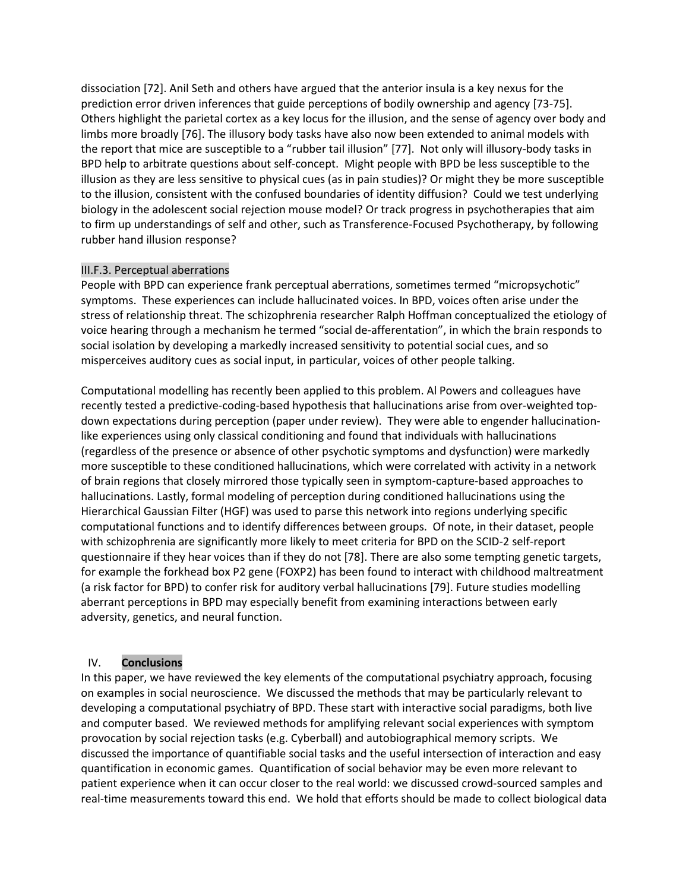dissociation [72]. Anil Seth and others have argued that the anterior insula is a key nexus for the prediction error driven inferences that guide perceptions of bodily ownership and agency [73-75]. Others highlight the parietal cortex as a key locus for the illusion, and the sense of agency over body and limbs more broadly [76]. The illusory body tasks have also now been extended to animal models with the report that mice are susceptible to a "rubber tail illusion" [77]. Not only will illusory-body tasks in BPD help to arbitrate questions about self-concept. Might people with BPD be less susceptible to the illusion as they are less sensitive to physical cues (as in pain studies)? Or might they be more susceptible to the illusion, consistent with the confused boundaries of identity diffusion? Could we test underlying biology in the adolescent social rejection mouse model? Or track progress in psychotherapies that aim to firm up understandings of self and other, such as Transference-Focused Psychotherapy, by following rubber hand illusion response?

#### III.F.3. Perceptual aberrations

People with BPD can experience frank perceptual aberrations, sometimes termed "micropsychotic" symptoms. These experiences can include hallucinated voices. In BPD, voices often arise under the stress of relationship threat. The schizophrenia researcher Ralph Hoffman conceptualized the etiology of voice hearing through a mechanism he termed "social de-afferentation", in which the brain responds to social isolation by developing a markedly increased sensitivity to potential social cues, and so misperceives auditory cues as social input, in particular, voices of other people talking.

Computational modelling has recently been applied to this problem. Al Powers and colleagues have recently tested a predictive-coding-based hypothesis that hallucinations arise from over-weighted topdown expectations during perception (paper under review). They were able to engender hallucinationlike experiences using only classical conditioning and found that individuals with hallucinations (regardless of the presence or absence of other psychotic symptoms and dysfunction) were markedly more susceptible to these conditioned hallucinations, which were correlated with activity in a network of brain regions that closely mirrored those typically seen in symptom-capture-based approaches to hallucinations. Lastly, formal modeling of perception during conditioned hallucinations using the Hierarchical Gaussian Filter (HGF) was used to parse this network into regions underlying specific computational functions and to identify differences between groups. Of note, in their dataset, people with schizophrenia are significantly more likely to meet criteria for BPD on the SCID-2 self-report questionnaire if they hear voices than if they do not [78]. There are also some tempting genetic targets, for example the forkhead box P2 gene (FOXP2) has been found to interact with childhood maltreatment (a risk factor for BPD) to confer risk for auditory verbal hallucinations [79]. Future studies modelling aberrant perceptions in BPD may especially benefit from examining interactions between early adversity, genetics, and neural function.

#### IV. **Conclusions**

In this paper, we have reviewed the key elements of the computational psychiatry approach, focusing on examples in social neuroscience. We discussed the methods that may be particularly relevant to developing a computational psychiatry of BPD. These start with interactive social paradigms, both live and computer based. We reviewed methods for amplifying relevant social experiences with symptom provocation by social rejection tasks (e.g. Cyberball) and autobiographical memory scripts. We discussed the importance of quantifiable social tasks and the useful intersection of interaction and easy quantification in economic games. Quantification of social behavior may be even more relevant to patient experience when it can occur closer to the real world: we discussed crowd-sourced samples and real-time measurements toward this end. We hold that efforts should be made to collect biological data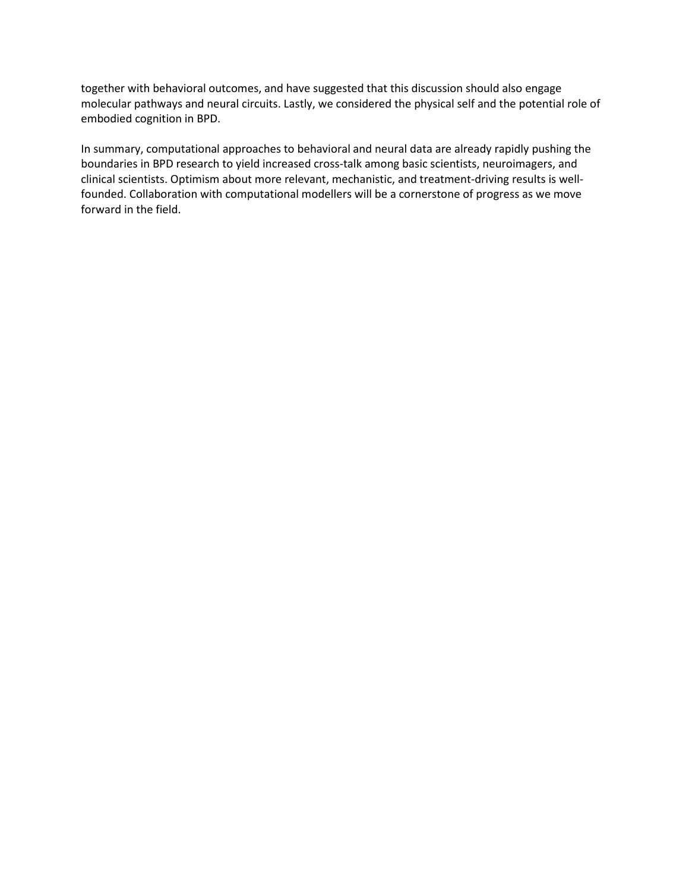together with behavioral outcomes, and have suggested that this discussion should also engage molecular pathways and neural circuits. Lastly, we considered the physical self and the potential role of embodied cognition in BPD.

In summary, computational approaches to behavioral and neural data are already rapidly pushing the boundaries in BPD research to yield increased cross-talk among basic scientists, neuroimagers, and clinical scientists. Optimism about more relevant, mechanistic, and treatment-driving results is wellfounded. Collaboration with computational modellers will be a cornerstone of progress as we move forward in the field.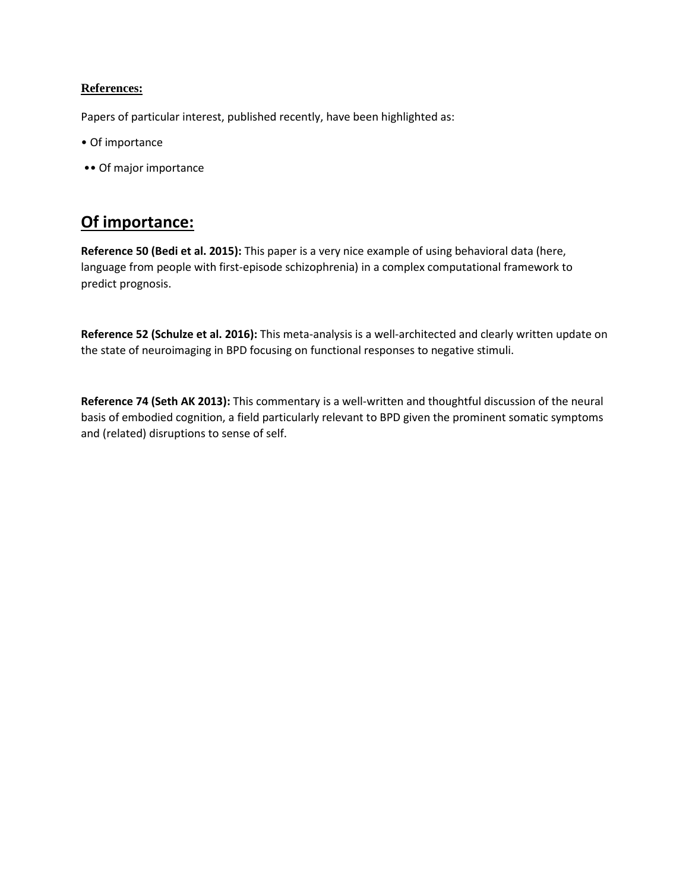# **References:**

Papers of particular interest, published recently, have been highlighted as:

- Of importance
- •• Of major importance

# **Of importance:**

**Reference 50 (Bedi et al. 2015):** This paper is a very nice example of using behavioral data (here, language from people with first-episode schizophrenia) in a complex computational framework to predict prognosis.

**Reference 52 (Schulze et al. 2016):** This meta-analysis is a well-architected and clearly written update on the state of neuroimaging in BPD focusing on functional responses to negative stimuli.

**Reference 74 (Seth AK 2013):** This commentary is a well-written and thoughtful discussion of the neural basis of embodied cognition, a field particularly relevant to BPD given the prominent somatic symptoms and (related) disruptions to sense of self.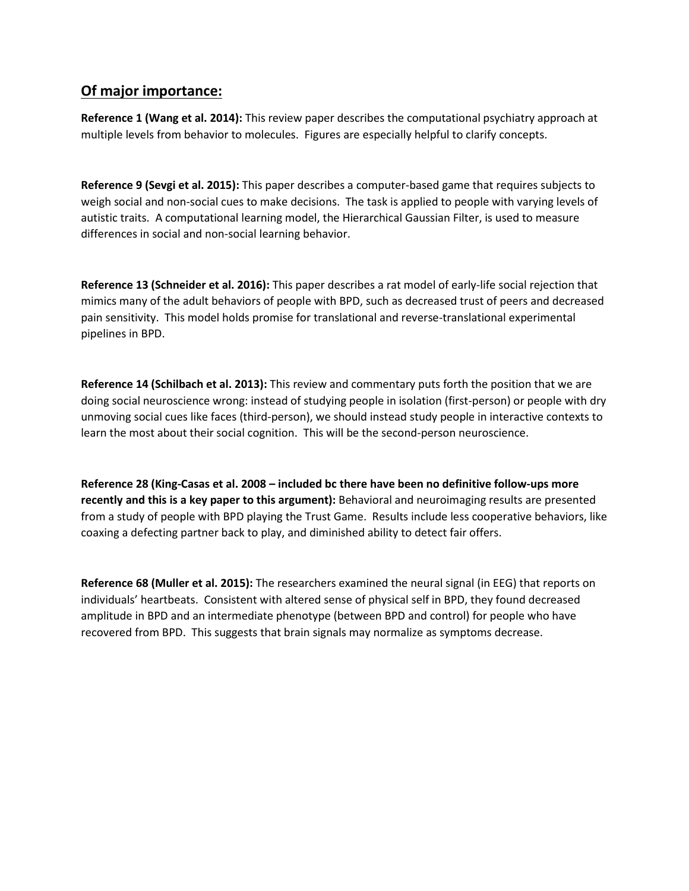# **Of major importance:**

**Reference 1 (Wang et al. 2014):** This review paper describes the computational psychiatry approach at multiple levels from behavior to molecules. Figures are especially helpful to clarify concepts.

**Reference 9 (Sevgi et al. 2015):** This paper describes a computer-based game that requires subjects to weigh social and non-social cues to make decisions. The task is applied to people with varying levels of autistic traits. A computational learning model, the Hierarchical Gaussian Filter, is used to measure differences in social and non-social learning behavior.

**Reference 13 (Schneider et al. 2016):** This paper describes a rat model of early-life social rejection that mimics many of the adult behaviors of people with BPD, such as decreased trust of peers and decreased pain sensitivity. This model holds promise for translational and reverse-translational experimental pipelines in BPD.

**Reference 14 (Schilbach et al. 2013):** This review and commentary puts forth the position that we are doing social neuroscience wrong: instead of studying people in isolation (first-person) or people with dry unmoving social cues like faces (third-person), we should instead study people in interactive contexts to learn the most about their social cognition. This will be the second-person neuroscience.

**Reference 28 (King-Casas et al. 2008 – included bc there have been no definitive follow-ups more recently and this is a key paper to this argument):** Behavioral and neuroimaging results are presented from a study of people with BPD playing the Trust Game. Results include less cooperative behaviors, like coaxing a defecting partner back to play, and diminished ability to detect fair offers.

**Reference 68 (Muller et al. 2015):** The researchers examined the neural signal (in EEG) that reports on individuals' heartbeats. Consistent with altered sense of physical self in BPD, they found decreased amplitude in BPD and an intermediate phenotype (between BPD and control) for people who have recovered from BPD. This suggests that brain signals may normalize as symptoms decrease.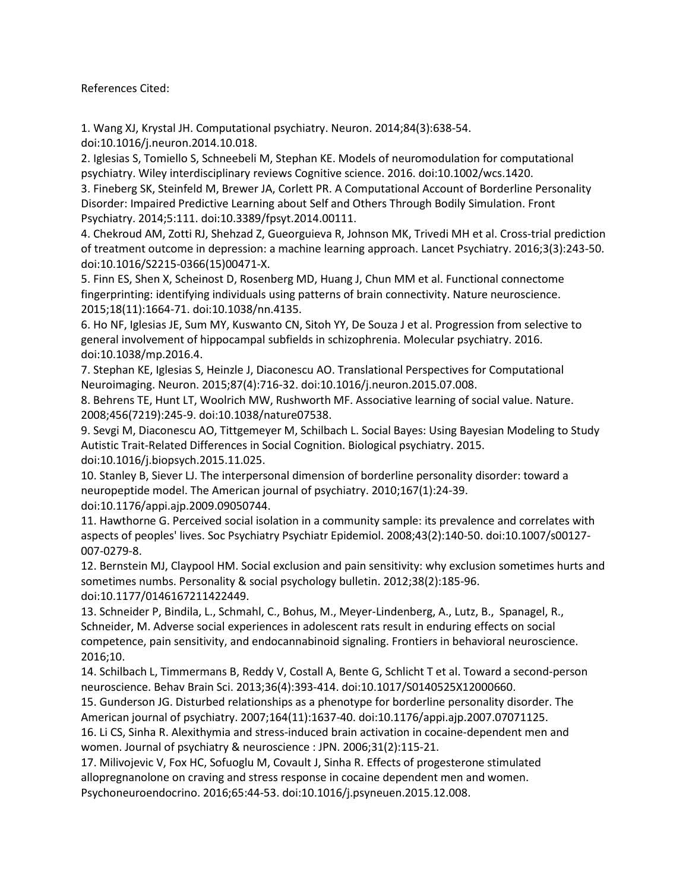References Cited:

1. Wang XJ, Krystal JH. Computational psychiatry. Neuron. 2014;84(3):638-54. doi:10.1016/j.neuron.2014.10.018.

2. Iglesias S, Tomiello S, Schneebeli M, Stephan KE. Models of neuromodulation for computational psychiatry. Wiley interdisciplinary reviews Cognitive science. 2016. doi:10.1002/wcs.1420.

3. Fineberg SK, Steinfeld M, Brewer JA, Corlett PR. A Computational Account of Borderline Personality Disorder: Impaired Predictive Learning about Self and Others Through Bodily Simulation. Front Psychiatry. 2014;5:111. doi:10.3389/fpsyt.2014.00111.

4. Chekroud AM, Zotti RJ, Shehzad Z, Gueorguieva R, Johnson MK, Trivedi MH et al. Cross-trial prediction of treatment outcome in depression: a machine learning approach. Lancet Psychiatry. 2016;3(3):243-50. doi:10.1016/S2215-0366(15)00471-X.

5. Finn ES, Shen X, Scheinost D, Rosenberg MD, Huang J, Chun MM et al. Functional connectome fingerprinting: identifying individuals using patterns of brain connectivity. Nature neuroscience. 2015;18(11):1664-71. doi:10.1038/nn.4135.

6. Ho NF, Iglesias JE, Sum MY, Kuswanto CN, Sitoh YY, De Souza J et al. Progression from selective to general involvement of hippocampal subfields in schizophrenia. Molecular psychiatry. 2016. doi:10.1038/mp.2016.4.

7. Stephan KE, Iglesias S, Heinzle J, Diaconescu AO. Translational Perspectives for Computational Neuroimaging. Neuron. 2015;87(4):716-32. doi:10.1016/j.neuron.2015.07.008.

8. Behrens TE, Hunt LT, Woolrich MW, Rushworth MF. Associative learning of social value. Nature. 2008;456(7219):245-9. doi:10.1038/nature07538.

9. Sevgi M, Diaconescu AO, Tittgemeyer M, Schilbach L. Social Bayes: Using Bayesian Modeling to Study Autistic Trait-Related Differences in Social Cognition. Biological psychiatry. 2015. doi:10.1016/j.biopsych.2015.11.025.

10. Stanley B, Siever LJ. The interpersonal dimension of borderline personality disorder: toward a neuropeptide model. The American journal of psychiatry. 2010;167(1):24-39. doi:10.1176/appi.ajp.2009.09050744.

11. Hawthorne G. Perceived social isolation in a community sample: its prevalence and correlates with aspects of peoples' lives. Soc Psychiatry Psychiatr Epidemiol. 2008;43(2):140-50. doi:10.1007/s00127- 007-0279-8.

12. Bernstein MJ, Claypool HM. Social exclusion and pain sensitivity: why exclusion sometimes hurts and sometimes numbs. Personality & social psychology bulletin. 2012;38(2):185-96. doi:10.1177/0146167211422449.

13. Schneider P, Bindila, L., Schmahl, C., Bohus, M., Meyer-Lindenberg, A., Lutz, B., Spanagel, R., Schneider, M. Adverse social experiences in adolescent rats result in enduring effects on social competence, pain sensitivity, and endocannabinoid signaling. Frontiers in behavioral neuroscience. 2016;10.

14. Schilbach L, Timmermans B, Reddy V, Costall A, Bente G, Schlicht T et al. Toward a second-person neuroscience. Behav Brain Sci. 2013;36(4):393-414. doi:10.1017/S0140525X12000660.

15. Gunderson JG. Disturbed relationships as a phenotype for borderline personality disorder. The American journal of psychiatry. 2007;164(11):1637-40. doi:10.1176/appi.ajp.2007.07071125.

16. Li CS, Sinha R. Alexithymia and stress-induced brain activation in cocaine-dependent men and women. Journal of psychiatry & neuroscience : JPN. 2006;31(2):115-21.

17. Milivojevic V, Fox HC, Sofuoglu M, Covault J, Sinha R. Effects of progesterone stimulated allopregnanolone on craving and stress response in cocaine dependent men and women. Psychoneuroendocrino. 2016;65:44-53. doi:10.1016/j.psyneuen.2015.12.008.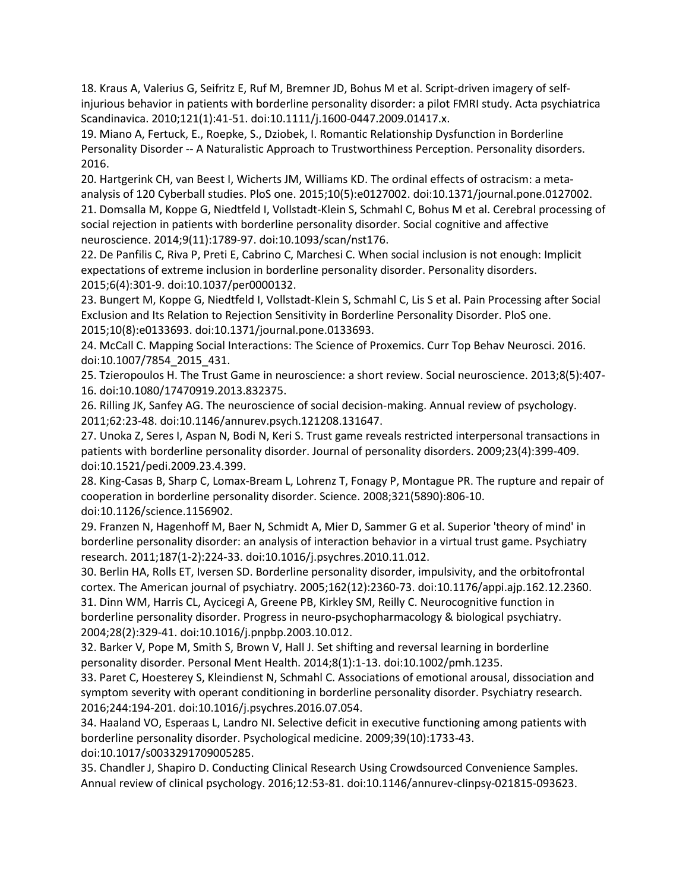18. Kraus A, Valerius G, Seifritz E, Ruf M, Bremner JD, Bohus M et al. Script-driven imagery of selfinjurious behavior in patients with borderline personality disorder: a pilot FMRI study. Acta psychiatrica Scandinavica. 2010;121(1):41-51. doi:10.1111/j.1600-0447.2009.01417.x.

19. Miano A, Fertuck, E., Roepke, S., Dziobek, I. Romantic Relationship Dysfunction in Borderline Personality Disorder -- A Naturalistic Approach to Trustworthiness Perception. Personality disorders. 2016.

20. Hartgerink CH, van Beest I, Wicherts JM, Williams KD. The ordinal effects of ostracism: a metaanalysis of 120 Cyberball studies. PloS one. 2015;10(5):e0127002. doi:10.1371/journal.pone.0127002. 21. Domsalla M, Koppe G, Niedtfeld I, Vollstadt-Klein S, Schmahl C, Bohus M et al. Cerebral processing of social rejection in patients with borderline personality disorder. Social cognitive and affective neuroscience. 2014;9(11):1789-97. doi:10.1093/scan/nst176.

22. De Panfilis C, Riva P, Preti E, Cabrino C, Marchesi C. When social inclusion is not enough: Implicit expectations of extreme inclusion in borderline personality disorder. Personality disorders. 2015;6(4):301-9. doi:10.1037/per0000132.

23. Bungert M, Koppe G, Niedtfeld I, Vollstadt-Klein S, Schmahl C, Lis S et al. Pain Processing after Social Exclusion and Its Relation to Rejection Sensitivity in Borderline Personality Disorder. PloS one. 2015;10(8):e0133693. doi:10.1371/journal.pone.0133693.

24. McCall C. Mapping Social Interactions: The Science of Proxemics. Curr Top Behav Neurosci. 2016. doi:10.1007/7854\_2015\_431.

25. Tzieropoulos H. The Trust Game in neuroscience: a short review. Social neuroscience. 2013;8(5):407- 16. doi:10.1080/17470919.2013.832375.

26. Rilling JK, Sanfey AG. The neuroscience of social decision-making. Annual review of psychology. 2011;62:23-48. doi:10.1146/annurev.psych.121208.131647.

27. Unoka Z, Seres I, Aspan N, Bodi N, Keri S. Trust game reveals restricted interpersonal transactions in patients with borderline personality disorder. Journal of personality disorders. 2009;23(4):399-409. doi:10.1521/pedi.2009.23.4.399.

28. King-Casas B, Sharp C, Lomax-Bream L, Lohrenz T, Fonagy P, Montague PR. The rupture and repair of cooperation in borderline personality disorder. Science. 2008;321(5890):806-10. doi:10.1126/science.1156902.

29. Franzen N, Hagenhoff M, Baer N, Schmidt A, Mier D, Sammer G et al. Superior 'theory of mind' in borderline personality disorder: an analysis of interaction behavior in a virtual trust game. Psychiatry research. 2011;187(1-2):224-33. doi:10.1016/j.psychres.2010.11.012.

30. Berlin HA, Rolls ET, Iversen SD. Borderline personality disorder, impulsivity, and the orbitofrontal cortex. The American journal of psychiatry. 2005;162(12):2360-73. doi:10.1176/appi.ajp.162.12.2360. 31. Dinn WM, Harris CL, Aycicegi A, Greene PB, Kirkley SM, Reilly C. Neurocognitive function in borderline personality disorder. Progress in neuro-psychopharmacology & biological psychiatry. 2004;28(2):329-41. doi:10.1016/j.pnpbp.2003.10.012.

32. Barker V, Pope M, Smith S, Brown V, Hall J. Set shifting and reversal learning in borderline personality disorder. Personal Ment Health. 2014;8(1):1-13. doi:10.1002/pmh.1235.

33. Paret C, Hoesterey S, Kleindienst N, Schmahl C. Associations of emotional arousal, dissociation and symptom severity with operant conditioning in borderline personality disorder. Psychiatry research. 2016;244:194-201. doi:10.1016/j.psychres.2016.07.054.

34. Haaland VO, Esperaas L, Landro NI. Selective deficit in executive functioning among patients with borderline personality disorder. Psychological medicine. 2009;39(10):1733-43. doi:10.1017/s0033291709005285.

35. Chandler J, Shapiro D. Conducting Clinical Research Using Crowdsourced Convenience Samples. Annual review of clinical psychology. 2016;12:53-81. doi:10.1146/annurev-clinpsy-021815-093623.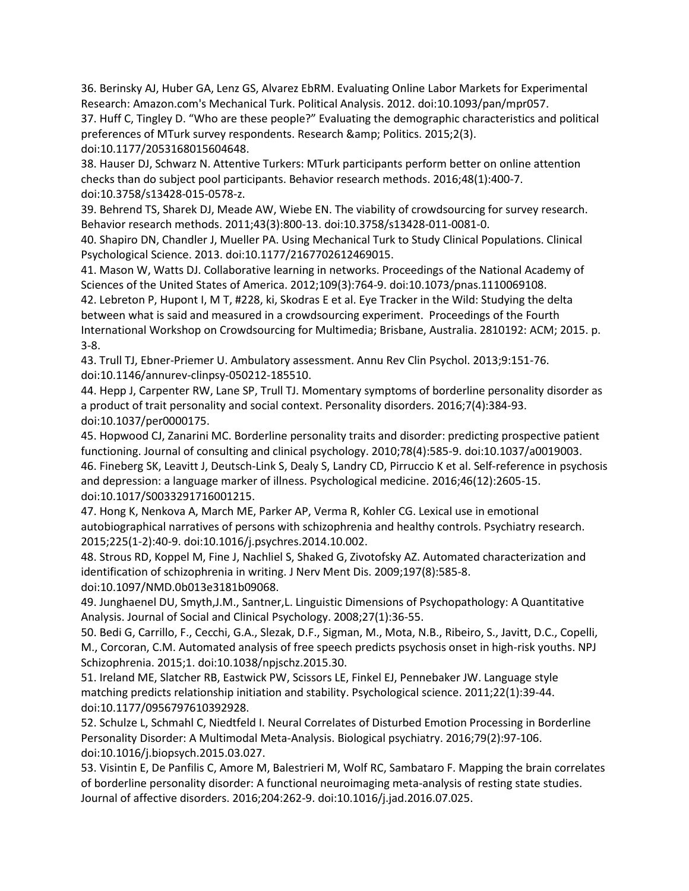36. Berinsky AJ, Huber GA, Lenz GS, Alvarez EbRM. Evaluating Online Labor Markets for Experimental Research: Amazon.com's Mechanical Turk. Political Analysis. 2012. doi:10.1093/pan/mpr057.

37. Huff C, Tingley D. "Who are these people?" Evaluating the demographic characteristics and political preferences of MTurk survey respondents. Research & amp; Politics. 2015;2(3). doi:10.1177/2053168015604648.

38. Hauser DJ, Schwarz N. Attentive Turkers: MTurk participants perform better on online attention checks than do subject pool participants. Behavior research methods. 2016;48(1):400-7. doi:10.3758/s13428-015-0578-z.

39. Behrend TS, Sharek DJ, Meade AW, Wiebe EN. The viability of crowdsourcing for survey research. Behavior research methods. 2011;43(3):800-13. doi:10.3758/s13428-011-0081-0.

40. Shapiro DN, Chandler J, Mueller PA. Using Mechanical Turk to Study Clinical Populations. Clinical Psychological Science. 2013. doi:10.1177/2167702612469015.

41. Mason W, Watts DJ. Collaborative learning in networks. Proceedings of the National Academy of Sciences of the United States of America. 2012;109(3):764-9. doi:10.1073/pnas.1110069108.

42. Lebreton P, Hupont I, M T, #228, ki, Skodras E et al. Eye Tracker in the Wild: Studying the delta between what is said and measured in a crowdsourcing experiment. Proceedings of the Fourth International Workshop on Crowdsourcing for Multimedia; Brisbane, Australia. 2810192: ACM; 2015. p. 3-8.

43. Trull TJ, Ebner-Priemer U. Ambulatory assessment. Annu Rev Clin Psychol. 2013;9:151-76. doi:10.1146/annurev-clinpsy-050212-185510.

44. Hepp J, Carpenter RW, Lane SP, Trull TJ. Momentary symptoms of borderline personality disorder as a product of trait personality and social context. Personality disorders. 2016;7(4):384-93. doi:10.1037/per0000175.

45. Hopwood CJ, Zanarini MC. Borderline personality traits and disorder: predicting prospective patient functioning. Journal of consulting and clinical psychology. 2010;78(4):585-9. doi:10.1037/a0019003. 46. Fineberg SK, Leavitt J, Deutsch-Link S, Dealy S, Landry CD, Pirruccio K et al. Self-reference in psychosis and depression: a language marker of illness. Psychological medicine. 2016;46(12):2605-15. doi:10.1017/S0033291716001215.

47. Hong K, Nenkova A, March ME, Parker AP, Verma R, Kohler CG. Lexical use in emotional autobiographical narratives of persons with schizophrenia and healthy controls. Psychiatry research. 2015;225(1-2):40-9. doi:10.1016/j.psychres.2014.10.002.

48. Strous RD, Koppel M, Fine J, Nachliel S, Shaked G, Zivotofsky AZ. Automated characterization and identification of schizophrenia in writing. J Nerv Ment Dis. 2009;197(8):585-8. doi:10.1097/NMD.0b013e3181b09068.

49. Junghaenel DU, Smyth,J.M., Santner,L. Linguistic Dimensions of Psychopathology: A Quantitative Analysis. Journal of Social and Clinical Psychology. 2008;27(1):36-55.

50. Bedi G, Carrillo, F., Cecchi, G.A., Slezak, D.F., Sigman, M., Mota, N.B., Ribeiro, S., Javitt, D.C., Copelli, M., Corcoran, C.M. Automated analysis of free speech predicts psychosis onset in high-risk youths. NPJ Schizophrenia. 2015;1. doi:10.1038/npjschz.2015.30.

51. Ireland ME, Slatcher RB, Eastwick PW, Scissors LE, Finkel EJ, Pennebaker JW. Language style matching predicts relationship initiation and stability. Psychological science. 2011;22(1):39-44. doi:10.1177/0956797610392928.

52. Schulze L, Schmahl C, Niedtfeld I. Neural Correlates of Disturbed Emotion Processing in Borderline Personality Disorder: A Multimodal Meta-Analysis. Biological psychiatry. 2016;79(2):97-106. doi:10.1016/j.biopsych.2015.03.027.

53. Visintin E, De Panfilis C, Amore M, Balestrieri M, Wolf RC, Sambataro F. Mapping the brain correlates of borderline personality disorder: A functional neuroimaging meta-analysis of resting state studies. Journal of affective disorders. 2016;204:262-9. doi:10.1016/j.jad.2016.07.025.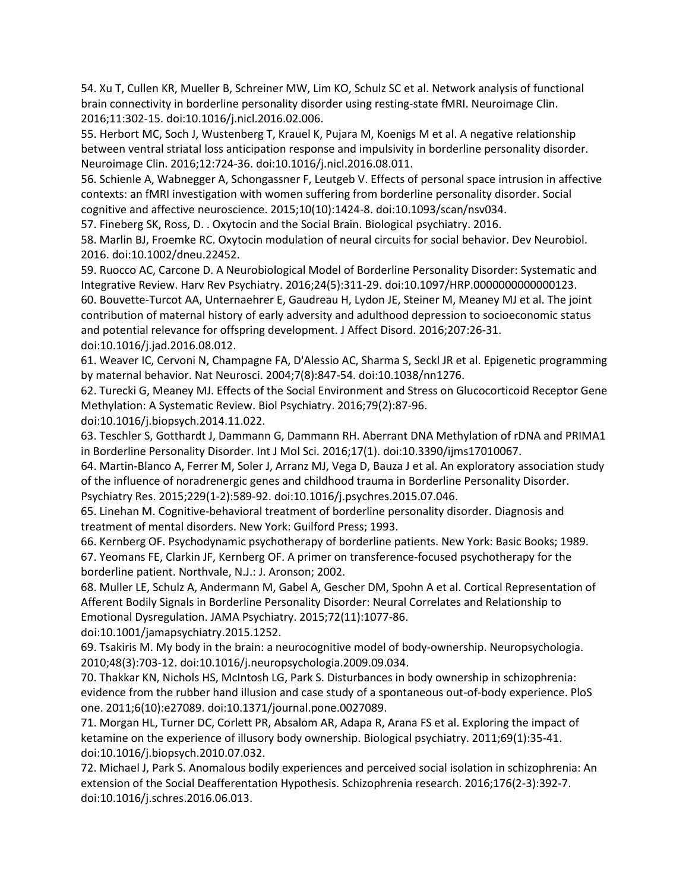54. Xu T, Cullen KR, Mueller B, Schreiner MW, Lim KO, Schulz SC et al. Network analysis of functional brain connectivity in borderline personality disorder using resting-state fMRI. Neuroimage Clin. 2016;11:302-15. doi:10.1016/j.nicl.2016.02.006.

55. Herbort MC, Soch J, Wustenberg T, Krauel K, Pujara M, Koenigs M et al. A negative relationship between ventral striatal loss anticipation response and impulsivity in borderline personality disorder. Neuroimage Clin. 2016;12:724-36. doi:10.1016/j.nicl.2016.08.011.

56. Schienle A, Wabnegger A, Schongassner F, Leutgeb V. Effects of personal space intrusion in affective contexts: an fMRI investigation with women suffering from borderline personality disorder. Social cognitive and affective neuroscience. 2015;10(10):1424-8. doi:10.1093/scan/nsv034.

57. Fineberg SK, Ross, D. . Oxytocin and the Social Brain. Biological psychiatry. 2016.

58. Marlin BJ, Froemke RC. Oxytocin modulation of neural circuits for social behavior. Dev Neurobiol. 2016. doi:10.1002/dneu.22452.

59. Ruocco AC, Carcone D. A Neurobiological Model of Borderline Personality Disorder: Systematic and Integrative Review. Harv Rev Psychiatry. 2016;24(5):311-29. doi:10.1097/HRP.0000000000000123. 60. Bouvette-Turcot AA, Unternaehrer E, Gaudreau H, Lydon JE, Steiner M, Meaney MJ et al. The joint contribution of maternal history of early adversity and adulthood depression to socioeconomic status and potential relevance for offspring development. J Affect Disord. 2016;207:26-31. doi:10.1016/j.jad.2016.08.012.

61. Weaver IC, Cervoni N, Champagne FA, D'Alessio AC, Sharma S, Seckl JR et al. Epigenetic programming by maternal behavior. Nat Neurosci. 2004;7(8):847-54. doi:10.1038/nn1276.

62. Turecki G, Meaney MJ. Effects of the Social Environment and Stress on Glucocorticoid Receptor Gene Methylation: A Systematic Review. Biol Psychiatry. 2016;79(2):87-96.

doi:10.1016/j.biopsych.2014.11.022.

63. Teschler S, Gotthardt J, Dammann G, Dammann RH. Aberrant DNA Methylation of rDNA and PRIMA1 in Borderline Personality Disorder. Int J Mol Sci. 2016;17(1). doi:10.3390/ijms17010067.

64. Martin-Blanco A, Ferrer M, Soler J, Arranz MJ, Vega D, Bauza J et al. An exploratory association study of the influence of noradrenergic genes and childhood trauma in Borderline Personality Disorder. Psychiatry Res. 2015;229(1-2):589-92. doi:10.1016/j.psychres.2015.07.046.

65. Linehan M. Cognitive-behavioral treatment of borderline personality disorder. Diagnosis and treatment of mental disorders. New York: Guilford Press; 1993.

66. Kernberg OF. Psychodynamic psychotherapy of borderline patients. New York: Basic Books; 1989. 67. Yeomans FE, Clarkin JF, Kernberg OF. A primer on transference-focused psychotherapy for the borderline patient. Northvale, N.J.: J. Aronson; 2002.

68. Muller LE, Schulz A, Andermann M, Gabel A, Gescher DM, Spohn A et al. Cortical Representation of Afferent Bodily Signals in Borderline Personality Disorder: Neural Correlates and Relationship to Emotional Dysregulation. JAMA Psychiatry. 2015;72(11):1077-86.

doi:10.1001/jamapsychiatry.2015.1252.

69. Tsakiris M. My body in the brain: a neurocognitive model of body-ownership. Neuropsychologia. 2010;48(3):703-12. doi:10.1016/j.neuropsychologia.2009.09.034.

70. Thakkar KN, Nichols HS, McIntosh LG, Park S. Disturbances in body ownership in schizophrenia: evidence from the rubber hand illusion and case study of a spontaneous out-of-body experience. PloS one. 2011;6(10):e27089. doi:10.1371/journal.pone.0027089.

71. Morgan HL, Turner DC, Corlett PR, Absalom AR, Adapa R, Arana FS et al. Exploring the impact of ketamine on the experience of illusory body ownership. Biological psychiatry. 2011;69(1):35-41. doi:10.1016/j.biopsych.2010.07.032.

72. Michael J, Park S. Anomalous bodily experiences and perceived social isolation in schizophrenia: An extension of the Social Deafferentation Hypothesis. Schizophrenia research. 2016;176(2-3):392-7. doi:10.1016/j.schres.2016.06.013.